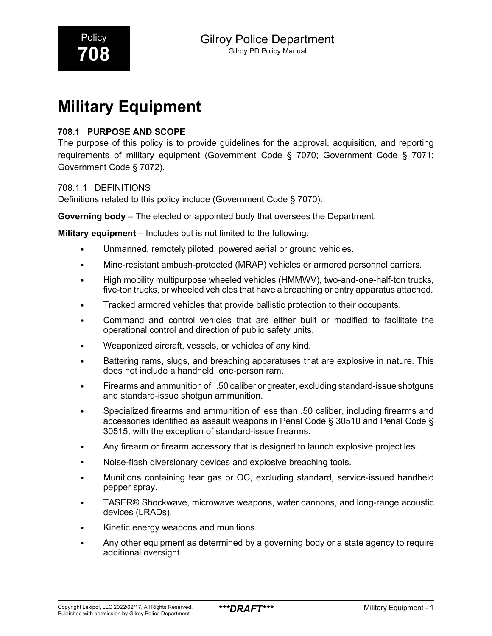# **Military Equipment**

## **708.1 PURPOSE AND SCOPE**

The purpose of this policy is to provide guidelines for the approval, acquisition, and reporting requirements of military equipment (Government Code § 7070; Government Code § 7071; Government Code § 7072).

#### 708.1.1 DEFINITIONS

Definitions related to this policy include (Government Code § 7070):

**Governing body** – The elected or appointed body that oversees the Department.

**Military equipment** – Includes but is not limited to the following:

- Unmanned, remotely piloted, powered aerial or ground vehicles.
- Mine-resistant ambush-protected (MRAP) vehicles or armored personnel carriers.
- High mobility multipurpose wheeled vehicles (HMMWV), two-and-one-half-ton trucks, five-ton trucks, or wheeled vehicles that have a breaching or entry apparatus attached.
- Tracked armored vehicles that provide ballistic protection to their occupants.
- Command and control vehicles that are either built or modified to facilitate the operational control and direction of public safety units.
- Weaponized aircraft, vessels, or vehicles of any kind.
- Battering rams, slugs, and breaching apparatuses that are explosive in nature. This does not include a handheld, one-person ram.
- Firearms and ammunition of .50 caliber or greater, excluding standard-issue shotguns and standard-issue shotgun ammunition.
- Specialized firearms and ammunition of less than .50 caliber, including firearms and accessories identified as assault weapons in Penal Code § 30510 and Penal Code § 30515, with the exception of standard-issue firearms.
- Any firearm or firearm accessory that is designed to launch explosive projectiles.
- Noise-flash diversionary devices and explosive breaching tools.
- Munitions containing tear gas or OC, excluding standard, service-issued handheld pepper spray.
- TASER® Shockwave, microwave weapons, water cannons, and long-range acoustic devices (LRADs).
- Kinetic energy weapons and munitions.
- Any other equipment as determined by a governing body or a state agency to require additional oversight.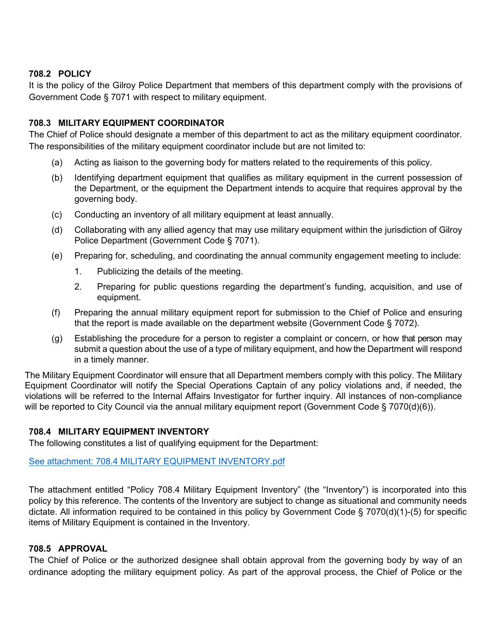#### **708.2 POLICY**

It is the policy of the Gilroy Police Department that members of this department comply with the provisions of Government Code § 7071 with respect to military equipment.

#### **708.3 MILITARY EQUIPMENT COORDINATOR**

The Chief of Police should designate a member of this department to act as the military equipment coordinator. The responsibilities of the military equipment coordinator include but are not limited to:

- (a) Acting as liaison to the governing body for matters related to the requirements of this policy.
- (b) Identifying department equipment that qualifies as military equipment in the current possession of the Department, or the equipment the Department intends to acquire that requires approval by the governing body.
- (c) Conducting an inventory of all military equipment at least annually.
- (d) Collaborating with any allied agency that may use military equipment within the jurisdiction of Gilroy Police Department (Government Code § 7071).
- (e) Preparing for, scheduling, and coordinating the annual community engagement meeting to include:
	- 1. Publicizing the details of the meeting.
	- 2. Preparing for public questions regarding the department's funding, acquisition, and use of equipment.
- (f) Preparing the annual military equipment report for submission to the Chief of Police and ensuring that the report is made available on the department website (Government Code § 7072).
- (g) Establishing the procedure for a person to register a complaint or concern, or how that person may submit a question about the use of a type of military equipment, and how the Department will respond in a timely manner.

The Military Equipment Coordinator will ensure that all Department members comply with this policy. The Military Equipment Coordinator will notify the Special Operations Captain of any policy violations and, if needed, the violations will be referred to the Internal Affairs Investigator for further inquiry. All instances of non-compliance will be reported to City Council via the annual military equipment report (Government Code § 7070(d)(6)).

#### **708.4 MILITARY EQUIPMENT INVENTORY**

The following constitutes a list of qualifying equipment for the Department:

#### See attachment: 708.4 MILITARY EQUIPMENT INVENTORY.pdf

The attachment entitled "Policy 708.4 Military Equipment Inventory" (the "Inventory") is incorporated into this policy by this reference. The contents of the Inventory are subject to change as situational and community needs dictate. All information required to be contained in this policy by Government Code § 7070(d)(1)-(5) for specific items of Military Equipment is contained in the Inventory.

#### **708.5 APPROVAL**

The Chief of Police or the authorized designee shall obtain approval from the governing body by way of an ordinance adopting the military equipment policy. As part of the approval process, the Chief of Police or the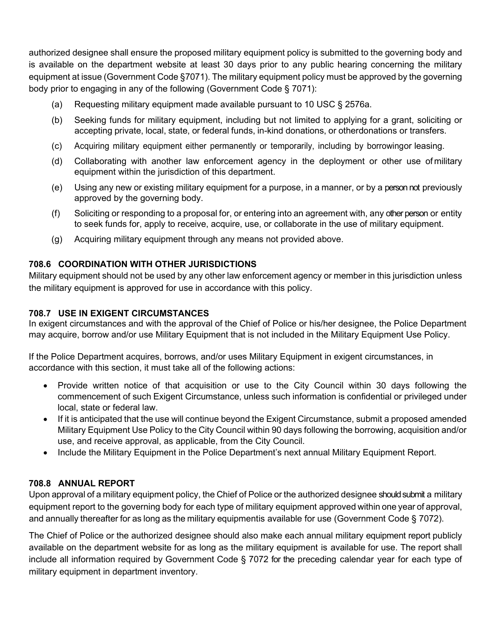authorized designee shall ensure the proposed military equipment policy is submitted to the governing body and is available on the department website at least 30 days prior to any public hearing concerning the military equipment at issue (Government Code §7071). The military equipment policy must be approved by the governing body prior to engaging in any of the following (Government Code § 7071):

- (a) Requesting military equipment made available pursuant to 10 USC § 2576a.
- (b) Seeking funds for military equipment, including but not limited to applying for a grant, soliciting or accepting private, local, state, or federal funds, in-kind donations, or otherdonations or transfers.
- (c) Acquiring military equipment either permanently or temporarily, including by borrowingor leasing.
- (d) Collaborating with another law enforcement agency in the deployment or other use of military equipment within the jurisdiction of this department.
- (e) Using any new or existing military equipment for a purpose, in a manner, or by a person not previously approved by the governing body.
- (f) Soliciting or responding to a proposal for, or entering into an agreement with, any other person or entity to seek funds for, apply to receive, acquire, use, or collaborate in the use of military equipment.
- (g) Acquiring military equipment through any means not provided above.

## **708.6 COORDINATION WITH OTHER JURISDICTIONS**

Military equipment should not be used by any other law enforcement agency or member in this jurisdiction unless the military equipment is approved for use in accordance with this policy.

## **708.7 USE IN EXIGENT CIRCUMSTANCES**

In exigent circumstances and with the approval of the Chief of Police or his/her designee, the Police Department may acquire, borrow and/or use Military Equipment that is not included in the Military Equipment Use Policy.

If the Police Department acquires, borrows, and/or uses Military Equipment in exigent circumstances, in accordance with this section, it must take all of the following actions:

- Provide written notice of that acquisition or use to the City Council within 30 days following the commencement of such Exigent Circumstance, unless such information is confidential or privileged under local, state or federal law.
- If it is anticipated that the use will continue beyond the Exigent Circumstance, submit a proposed amended Military Equipment Use Policy to the City Council within 90 days following the borrowing, acquisition and/or use, and receive approval, as applicable, from the City Council.
- Include the Military Equipment in the Police Department's next annual Military Equipment Report.

### **708.8 ANNUAL REPORT**

Upon approval of a military equipment policy, the Chief of Police or the authorized designee should submit a military equipment report to the governing body for each type of military equipment approved within one year of approval, and annually thereafter for as long as the military equipmentis available for use (Government Code § 7072).

The Chief of Police or the authorized designee should also make each annual military equipment report publicly available on the department website for as long as the military equipment is available for use. The report shall include all information required by Government Code § 7072 for the preceding calendar year for each type of military equipment in department inventory.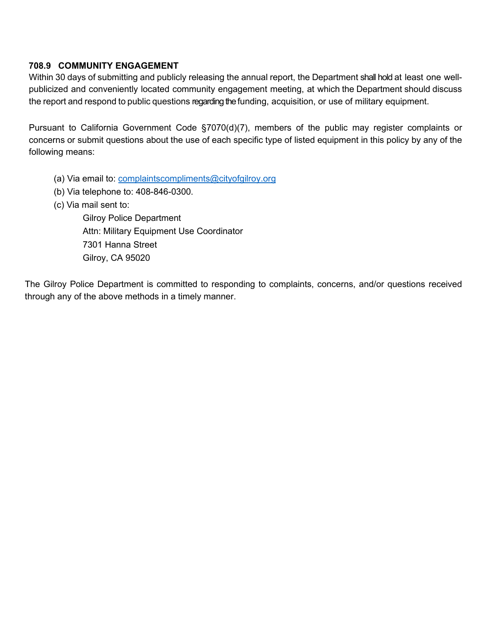### **708.9 COMMUNITY ENGAGEMENT**

Within 30 days of submitting and publicly releasing the annual report, the Department shall hold at least one wellpublicized and conveniently located community engagement meeting, at which the Department should discuss the report and respond to public questions regarding the funding, acquisition, or use of military equipment.

Pursuant to California Government Code §7070(d)(7), members of the public may register complaints or concerns or submit questions about the use of each specific type of listed equipment in this policy by any of the following means:

- (a) Via email to: [complaintscompliments@cityofgilroy.org](mailto:complaintscompliments@cityofgilroy.org)
- (b) Via telephone to: 408-846-0300.
- (c) Via mail sent to:

Gilroy Police Department Attn: Military Equipment Use Coordinator 7301 Hanna Street Gilroy, CA 95020

The Gilroy Police Department is committed to responding to complaints, concerns, and/or questions received through any of the above methods in a timely manner.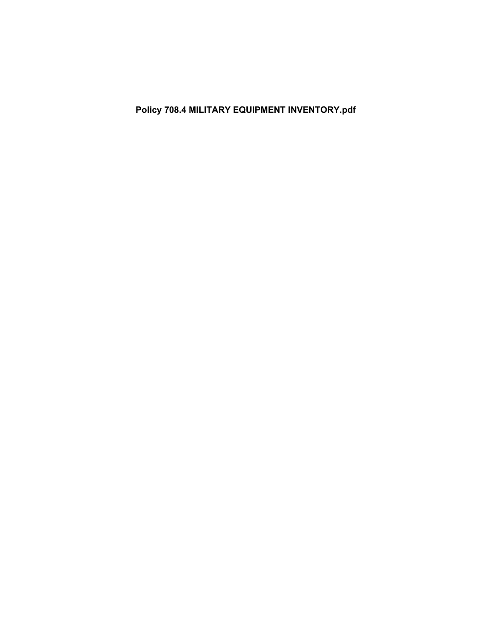**Policy 708.4 MILITARY EQUIPMENT INVENTORY.pdf**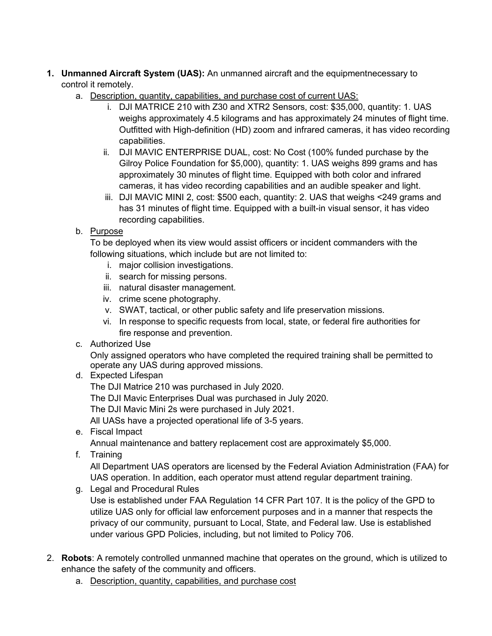- **1. Unmanned Aircraft System (UAS):** An unmanned aircraft and the equipmentnecessary to control it remotely.
	- a. Description, quantity, capabilities, and purchase cost of current UAS:
		- i. DJI MATRICE 210 with Z30 and XTR2 Sensors, cost: \$35,000, quantity: 1. UAS weighs approximately 4.5 kilograms and has approximately 24 minutes of flight time. Outfitted with High-definition (HD) zoom and infrared cameras, it has video recording capabilities.
		- ii. DJI MAVIC ENTERPRISE DUAL, cost: No Cost (100% funded purchase by the Gilroy Police Foundation for \$5,000), quantity: 1. UAS weighs 899 grams and has approximately 30 minutes of flight time. Equipped with both color and infrared cameras, it has video recording capabilities and an audible speaker and light.
		- iii. DJI MAVIC MINI 2, cost: \$500 each, quantity: 2. UAS that weighs <249 grams and has 31 minutes of flight time. Equipped with a built-in visual sensor, it has video recording capabilities.
	- b. Purpose

To be deployed when its view would assist officers or incident commanders with the following situations, which include but are not limited to:

- i. major collision investigations.
- ii. search for missing persons.
- iii. natural disaster management.
- iv. crime scene photography.
- v. SWAT, tactical, or other public safety and life preservation missions.
- vi. In response to specific requests from local, state, or federal fire authorities for fire response and prevention.
- c. Authorized Use

Only assigned operators who have completed the required training shall be permitted to operate any UAS during approved missions.

- d. Expected Lifespan
	- The DJI Matrice 210 was purchased in July 2020.
	- The DJI Mavic Enterprises Dual was purchased in July 2020.

The DJI Mavic Mini 2s were purchased in July 2021.

All UASs have a projected operational life of 3-5 years.

e. Fiscal Impact

Annual maintenance and battery replacement cost are approximately \$5,000.

f. Training

All Department UAS operators are licensed by the Federal Aviation Administration (FAA) for UAS operation. In addition, each operator must attend regular department training.

- g. Legal and Procedural Rules Use is established under FAA Regulation 14 CFR Part 107. It is the policy of the GPD to utilize UAS only for official law enforcement purposes and in a manner that respects the privacy of our community, pursuant to Local, State, and Federal law. Use is established under various GPD Policies, including, but not limited to Policy 706.
- 2. **Robots**: A remotely controlled unmanned machine that operates on the ground, which is utilized to enhance the safety of the community and officers.
	- a. Description, quantity, capabilities, and purchase cost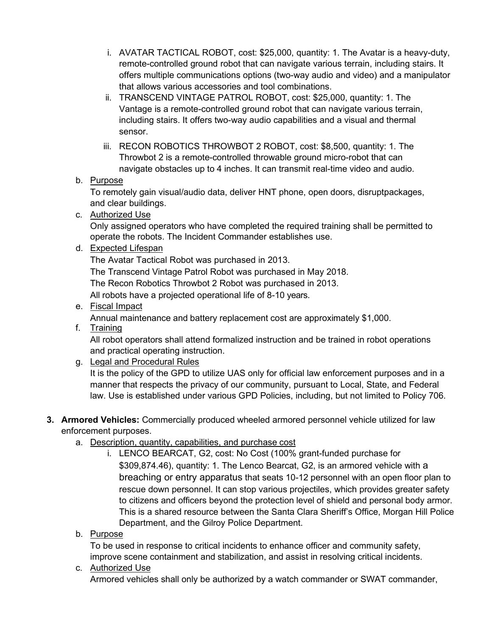- i. AVATAR TACTICAL ROBOT, cost: \$25,000, quantity: 1. The Avatar is a heavy-duty, remote-controlled ground robot that can navigate various terrain, including stairs. It offers multiple communications options (two-way audio and video) and a manipulator that allows various accessories and tool combinations.
- ii. TRANSCEND VINTAGE PATROL ROBOT, cost: \$25,000, quantity: 1. The Vantage is a remote-controlled ground robot that can navigate various terrain, including stairs. It offers two-way audio capabilities and a visual and thermal sensor.
- iii. RECON ROBOTICS THROWBOT 2 ROBOT, cost: \$8,500, quantity: 1. The Throwbot 2 is a remote-controlled throwable ground micro-robot that can navigate obstacles up to 4 inches. It can transmit real-time video and audio.

### b. Purpose

To remotely gain visual/audio data, deliver HNT phone, open doors, disrupt packages, and clear buildings.

c. Authorized Use

Only assigned operators who have completed the required training shall be permitted to operate the robots. The Incident Commander establishes use.

d. Expected Lifespan

The Avatar Tactical Robot was purchased in 2013.

The Transcend Vintage Patrol Robot was purchased in May 2018.

The Recon Robotics Throwbot 2 Robot was purchased in 2013.

All robots have a projected operational life of 8-10 years.

e. Fiscal Impact

Annual maintenance and battery replacement cost are approximately \$1,000.

f. Training

All robot operators shall attend formalized instruction and be trained in robot operations and practical operating instruction.

g. Legal and Procedural Rules

It is the policy of the GPD to utilize UAS only for official law enforcement purposes and in a manner that respects the privacy of our community, pursuant to Local, State, and Federal law. Use is established under various GPD Policies, including, but not limited to Policy 706.

- **3. Armored Vehicles:** Commercially produced wheeled armored personnel vehicle utilized for law enforcement purposes.
	- a. Description, quantity, capabilities, and purchase cost
		- i. LENCO BEARCAT, G2, cost: No Cost (100% grant-funded purchase for \$309,874.46), quantity: 1. The Lenco Bearcat, G2, is an armored vehicle with a breaching or entry apparatus that seats 10-12 personnel with an open floor plan to rescue down personnel. It can stop various projectiles, which provides greater safety to citizens and officers beyond the protection level of shield and personal body armor. This is a shared resource between the Santa Clara Sheriff's Office, Morgan Hill Police Department, and the Gilroy Police Department.
	- b. Purpose

To be used in response to critical incidents to enhance officer and community safety, improve scene containment and stabilization, and assist in resolving critical incidents.

c. Authorized Use

Armored vehicles shall only be authorized by a watch commander or SWAT commander,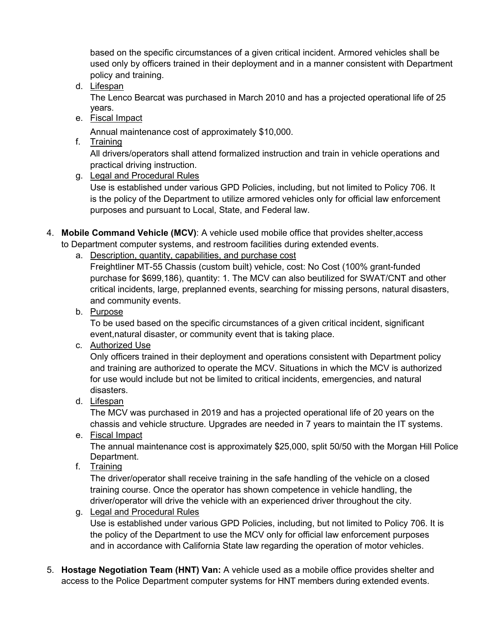based on the specific circumstances of a given critical incident. Armored vehicles shall be used only by officers trained in their deployment and in a manner consistent with Department policy and training.

d. Lifespan

The Lenco Bearcat was purchased in March 2010 and has a projected operational life of 25 years.

e. Fiscal Impact

Annual maintenance cost of approximately \$10,000.

f. Training

All drivers/operators shall attend formalized instruction and train in vehicle operations and practical driving instruction.

g. Legal and Procedural Rules

Use is established under various GPD Policies, including, but not limited to Policy 706. It is the policy of the Department to utilize armored vehicles only for official law enforcement purposes and pursuant to Local, State, and Federal law.

- 4. **Mobile Command Vehicle (MCV)**: A vehicle used mobile office that provides shelter,access to Department computer systems, and restroom facilities during extended events.
	- a. Description, quantity, capabilities, and purchase cost

Freightliner MT-55 Chassis (custom built) vehicle, cost: No Cost (100% grant-funded purchase for \$699,186), quantity: 1. The MCV can also beutilized for SWAT/CNT and other critical incidents, large, preplanned events, searching for missing persons, natural disasters, and community events.

b. Purpose

To be used based on the specific circumstances of a given critical incident, significant event,natural disaster, or community event that is taking place.

c. Authorized Use

Only officers trained in their deployment and operations consistent with Department policy and training are authorized to operate the MCV. Situations in which the MCV is authorized for use would include but not be limited to critical incidents, emergencies, and natural disasters.

d. Lifespan

The MCV was purchased in 2019 and has a projected operational life of 20 years on the chassis and vehicle structure. Upgrades are needed in 7 years to maintain the IT systems.

e. Fiscal Impact

The annual maintenance cost is approximately \$25,000, split 50/50 with the Morgan Hill Police Department.

f. Training

The driver/operator shall receive training in the safe handling of the vehicle on a closed training course. Once the operator has shown competence in vehicle handling, the driver/operator will drive the vehicle with an experienced driver throughout the city.

### g. Legal and Procedural Rules

Use is established under various GPD Policies, including, but not limited to Policy 706. It is the policy of the Department to use the MCV only for official law enforcement purposes and in accordance with California State law regarding the operation of motor vehicles.

5. **Hostage Negotiation Team (HNT) Van:** A vehicle used as a mobile office provides shelter and access to the Police Department computer systems for HNT members during extended events.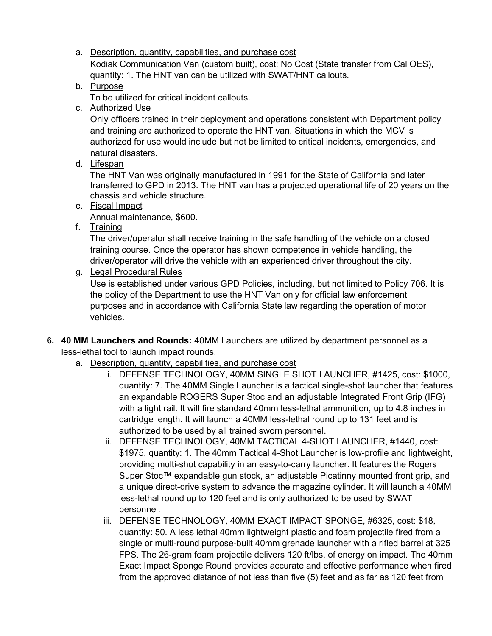- a. Description, quantity, capabilities, and purchase cost Kodiak Communication Van (custom built), cost: No Cost (State transfer from Cal OES), quantity: 1. The HNT van can be utilized with SWAT/HNT callouts.
- b. Purpose

To be utilized for critical incident callouts.

c. Authorized Use

Only officers trained in their deployment and operations consistent with Department policy and training are authorized to operate the HNT van. Situations in which the MCV is authorized for use would include but not be limited to critical incidents, emergencies, and natural disasters.

d. Lifespan

The HNT Van was originally manufactured in 1991 for the State of California and later transferred to GPD in 2013. The HNT van has a projected operational life of 20 years on the chassis and vehicle structure.

e. Fiscal Impact

Annual maintenance, \$600.

f. Training

The driver/operator shall receive training in the safe handling of the vehicle on a closed training course. Once the operator has shown competence in vehicle handling, the driver/operator will drive the vehicle with an experienced driver throughout the city.

g. Legal Procedural Rules

Use is established under various GPD Policies, including, but not limited to Policy 706. It is the policy of the Department to use the HNT Van only for official law enforcement purposes and in accordance with California State law regarding the operation of motor vehicles.

- **6. 40 MM Launchers and Rounds:** 40MM Launchers are utilized by department personnel as a less-lethal tool to launch impact rounds.
	- a. Description, quantity, capabilities, and purchase cost
		- i. DEFENSE TECHNOLOGY, 40MM SINGLE SHOT LAUNCHER, #1425, cost: \$1000, quantity: 7. The 40MM Single Launcher is a tactical single-shot launcher that features an expandable ROGERS Super Stoc and an adjustable Integrated Front Grip (IFG) with a light rail. It will fire standard 40mm less-lethal ammunition, up to 4.8 inches in cartridge length. It will launch a 40MM less-lethal round up to 131 feet and is authorized to be used by all trained sworn personnel.
		- ii. DEFENSE TECHNOLOGY, 40MM TACTICAL 4-SHOT LAUNCHER, #1440, cost: \$1975, quantity: 1. The 40mm Tactical 4-Shot Launcher is low-profile and lightweight, providing multi-shot capability in an easy-to-carry launcher. It features the Rogers Super Stoc™ expandable gun stock, an adjustable Picatinny mounted front grip, and a unique direct-drive system to advance the magazine cylinder. It will launch a 40MM less-lethal round up to 120 feet and is only authorized to be used by SWAT personnel.
		- iii. DEFENSE TECHNOLOGY, 40MM EXACT IMPACT SPONGE, #6325, cost: \$18, quantity: 50. A less lethal 40mm lightweight plastic and foam projectile fired from a single or multi-round purpose-built 40mm grenade launcher with a rifled barrel at 325 FPS. The 26-gram foam projectile delivers 120 ft/lbs. of energy on impact. The 40mm Exact Impact Sponge Round provides accurate and effective performance when fired from the approved distance of not less than five (5) feet and as far as 120 feet from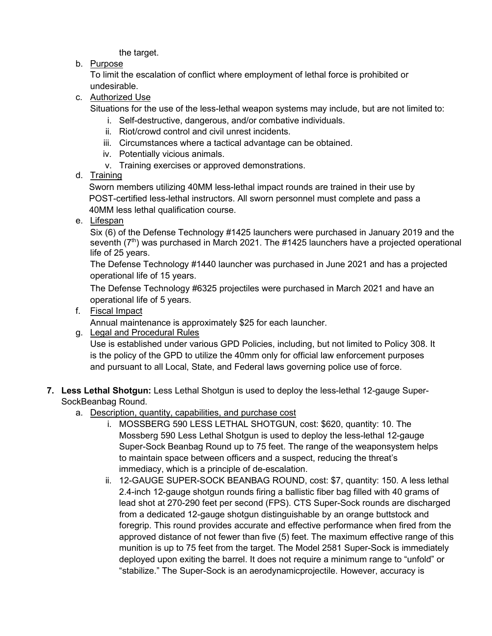the target.

b. Purpose

To limit the escalation of conflict where employment of lethal force is prohibited or undesirable.

c. Authorized Use

Situations for the use of the less-lethal weapon systems may include, but are not limited to:

- i. Self-destructive, dangerous, and/or combative individuals.
- ii. Riot/crowd control and civil unrest incidents.
- iii. Circumstances where a tactical advantage can be obtained.
- iv. Potentially vicious animals.
- v. Training exercises or approved demonstrations.
- d. Training

Sworn members utilizing 40MM less-lethal impact rounds are trained in their use by POST-certified less-lethal instructors. All sworn personnel must complete and pass a 40MM less lethal qualification course.

e. Lifespan

Six (6) of the Defense Technology #1425 launchers were purchased in January 2019 and the seventh  $(7<sup>th</sup>)$  was purchased in March 2021. The #1425 launchers have a projected operational life of 25 years.

The Defense Technology #1440 launcher was purchased in June 2021 and has a projected operational life of 15 years.

The Defense Technology #6325 projectiles were purchased in March 2021 and have an operational life of 5 years.

f. Fiscal Impact

Annual maintenance is approximately \$25 for each launcher.

g. Legal and Procedural Rules

Use is established under various GPD Policies, including, but not limited to Policy 308. It is the policy of the GPD to utilize the 40mm only for official law enforcement purposes and pursuant to all Local, State, and Federal laws governing police use of force.

## **7. Less Lethal Shotgun:** Less Lethal Shotgun is used to deploy the less-lethal 12-gauge Super-SockBeanbag Round.

- a. Description, quantity, capabilities, and purchase cost
	- i. MOSSBERG 590 LESS LETHAL SHOTGUN, cost: \$620, quantity: 10. The Mossberg 590 Less Lethal Shotgun is used to deploy the less-lethal 12-gauge Super-Sock Beanbag Round up to 75 feet. The range of the weaponsystem helps to maintain space between officers and a suspect, reducing the threat's immediacy, which is a principle of de-escalation.
	- ii. 12-GAUGE SUPER-SOCK BEANBAG ROUND, cost: \$7, quantity: 150. A less lethal 2.4-inch 12-gauge shotgun rounds firing a ballistic fiber bag filled with 40 grams of lead shot at 270-290 feet per second (FPS). CTS Super-Sock rounds are discharged from a dedicated 12-gauge shotgun distinguishable by an orange buttstock and foregrip. This round provides accurate and effective performance when fired from the approved distance of not fewer than five (5) feet. The maximum effective range of this munition is up to 75 feet from the target. The Model 2581 Super-Sock is immediately deployed upon exiting the barrel. It does not require a minimum range to "unfold" or "stabilize." The Super-Sock is an aerodynamicprojectile. However, accuracy is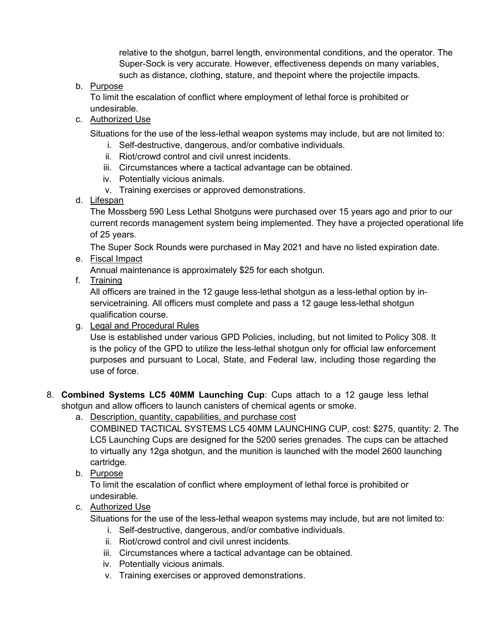relative to the shotgun, barrel length, environmental conditions, and the operator. The Super-Sock is very accurate. However, effectiveness depends on many variables, such as distance, clothing, stature, and thepoint where the projectile impacts.

b. Purpose

To limit the escalation of conflict where employment of lethal force is prohibited or undesirable.

c. Authorized Use

Situations for the use of the less-lethal weapon systems may include, but are not limited to:

- i. Self-destructive, dangerous, and/or combative individuals.
- ii. Riot/crowd control and civil unrest incidents.
- iii. Circumstances where a tactical advantage can be obtained.
- iv. Potentially vicious animals.
- v. Training exercises or approved demonstrations.
- d. Lifespan

The Mossberg 590 Less Lethal Shotguns were purchased over 15 years ago and prior to our current records management system being implemented. They have a projected operational life of 25 years.

The Super Sock Rounds were purchased in May 2021 and have no listed expiration date.

e. Fiscal Impact

Annual maintenance is approximately \$25 for each shotgun.

f. Training

All officers are trained in the 12 gauge less-lethal shotgun as a less-lethal option by inservicetraining. All officers must complete and pass a 12 gauge less-lethal shotgun qualification course.

g. Legal and Procedural Rules

Use is established under various GPD Policies, including, but not limited to Policy 308. It is the policy of the GPD to utilize the less-lethal shotgun only for official law enforcement purposes and pursuant to Local, State, and Federal law, including those regarding the use of force.

- 8. **Combined Systems LC5 40MM Launching Cup**: Cups attach to a 12 gauge less lethal shotgun and allow officers to launch canisters of chemical agents or smoke.
	- a. Description, quantity, capabilities, and purchase cost

COMBINED TACTICAL SYSTEMS LC5 40MM LAUNCHING CUP, cost: \$275, quantity: 2. The LC5 Launching Cups are designed for the 5200 series grenades. The cups can be attached to virtually any 12ga shotgun, and the munition is launched with the model 2600 launching cartridge.

b. Purpose

To limit the escalation of conflict where employment of lethal force is prohibited or undesirable.

c. Authorized Use

Situations for the use of the less-lethal weapon systems may include, but are not limited to:

- i. Self-destructive, dangerous, and/or combative individuals.
- ii. Riot/crowd control and civil unrest incidents.
- iii. Circumstances where a tactical advantage can be obtained.
- iv. Potentially vicious animals.
- v. Training exercises or approved demonstrations.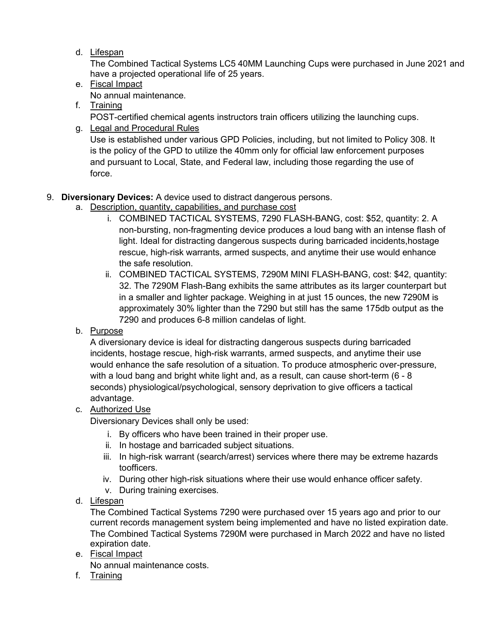d. Lifespan

The Combined Tactical Systems LC5 40MM Launching Cups were purchased in June 2021 and have a projected operational life of 25 years.

- e. Fiscal Impact No annual maintenance.
- f. Training POST-certified chemical agents instructors train officers utilizing the launching cups.
- g. Legal and Procedural Rules Use is established under various GPD Policies, including, but not limited to Policy 308. It is the policy of the GPD to utilize the 40mm only for official law enforcement purposes and pursuant to Local, State, and Federal law, including those regarding the use of force.

## 9. **Diversionary Devices:** A device used to distract dangerous persons.

- a. Description, quantity, capabilities, and purchase cost
	- i. COMBINED TACTICAL SYSTEMS, 7290 FLASH-BANG, cost: \$52, quantity: 2. A non-bursting, non-fragmenting device produces a loud bang with an intense flash of light. Ideal for distracting dangerous suspects during barricaded incidents, hostage rescue, high-risk warrants, armed suspects, and anytime their use would enhance the safe resolution.
	- ii. COMBINED TACTICAL SYSTEMS, 7290M MINI FLASH-BANG, cost: \$42, quantity: 32. The 7290M Flash-Bang exhibits the same attributes as its larger counterpart but in a smaller and lighter package. Weighing in at just 15 ounces, the new 7290M is approximately 30% lighter than the 7290 but still has the same 175db output as the 7290 and produces 6-8 million candelas of light.
- b. Purpose

A diversionary device is ideal for distracting dangerous suspects during barricaded incidents, hostage rescue, high-risk warrants, armed suspects, and anytime their use would enhance the safe resolution of a situation. To produce atmospheric over-pressure, with a loud bang and bright white light and, as a result, can cause short-term (6 - 8 seconds) physiological/psychological, sensory deprivation to give officers a tactical advantage.

### c. Authorized Use

Diversionary Devices shall only be used:

- i. By officers who have been trained in their proper use.
- ii. In hostage and barricaded subject situations.
- iii. In high-risk warrant (search/arrest) services where there may be extreme hazards toofficers.
- iv. During other high-risk situations where their use would enhance officer safety.
- v. During training exercises.
- d. Lifespan

The Combined Tactical Systems 7290 were purchased over 15 years ago and prior to our current records management system being implemented and have no listed expiration date. The Combined Tactical Systems 7290M were purchased in March 2022 and have no listed expiration date.

e. Fiscal Impact

No annual maintenance costs.

f. Training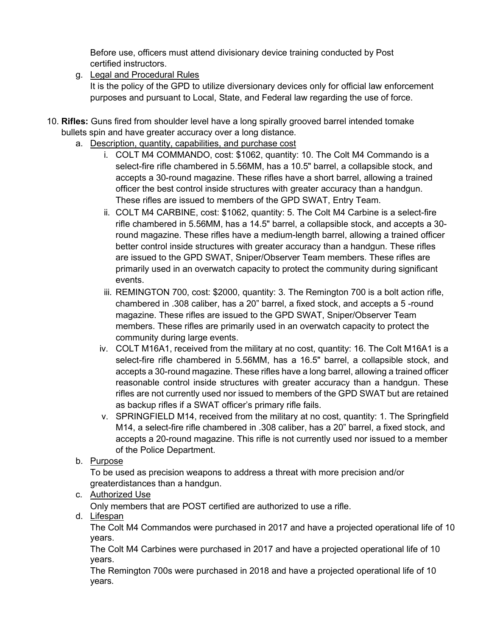Before use, officers must attend divisionary device training conducted by Post certified instructors.

g. Legal and Procedural Rules

It is the policy of the GPD to utilize diversionary devices only for official law enforcement purposes and pursuant to Local, State, and Federal law regarding the use of force.

- 10. **Rifles:** Guns fired from shoulder level have a long spirally grooved barrel intended tomake bullets spin and have greater accuracy over a long distance.
	- a. Description, quantity, capabilities, and purchase cost
		- i. COLT M4 COMMANDO, cost: \$1062, quantity: 10. The Colt M4 Commando is a select-fire rifle chambered in 5.56MM, has a 10.5" barrel, a collapsible stock, and accepts a 30-round magazine. These rifles have a short barrel, allowing a trained officer the best control inside structures with greater accuracy than a handgun. These rifles are issued to members of the GPD SWAT, Entry Team.
		- ii. COLT M4 CARBINE, cost: \$1062, quantity: 5. The Colt M4 Carbine is a select-fire rifle chambered in 5.56MM, has a 14.5" barrel, a collapsible stock, and accepts a 30 round magazine. These rifles have a medium-length barrel, allowing a trained officer better control inside structures with greater accuracy than a handgun. These rifles are issued to the GPD SWAT, Sniper/Observer Team members. These rifles are primarily used in an overwatch capacity to protect the community during significant events.
		- iii. REMINGTON 700, cost: \$2000, quantity: 3. The Remington 700 is a bolt action rifle, chambered in .308 caliber, has a 20" barrel, a fixed stock, and accepts a 5 -round magazine. These rifles are issued to the GPD SWAT, Sniper/Observer Team members. These rifles are primarily used in an overwatch capacity to protect the community during large events.
		- iv. COLT M16A1, received from the military at no cost, quantity: 16. The Colt M16A1 is a select-fire rifle chambered in 5.56MM, has a 16.5" barrel, a collapsible stock, and accepts a 30-round magazine. These rifles have a long barrel, allowing a trained officer reasonable control inside structures with greater accuracy than a handgun. These rifles are not currently used nor issued to members of the GPD SWAT but are retained as backup rifles if a SWAT officer's primary rifle fails.
		- v. SPRINGFIELD M14, received from the military at no cost, quantity: 1. The Springfield M14, a select-fire rifle chambered in .308 caliber, has a 20" barrel, a fixed stock, and accepts a 20-round magazine. This rifle is not currently used nor issued to a member of the Police Department.
	- b. Purpose

To be used as precision weapons to address a threat with more precision and/or greaterdistances than a handgun.

c. Authorized Use

Only members that are POST certified are authorized to use a rifle.

d. Lifespan

The Colt M4 Commandos were purchased in 2017 and have a projected operational life of 10 years.

The Colt M4 Carbines were purchased in 2017 and have a projected operational life of 10 years.

The Remington 700s were purchased in 2018 and have a projected operational life of 10 years.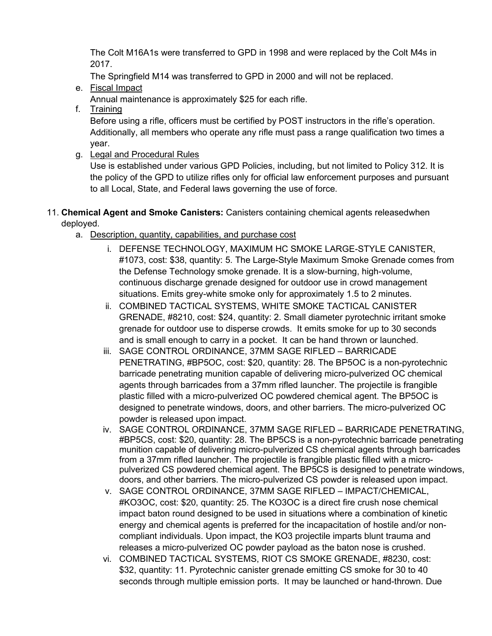The Colt M16A1s were transferred to GPD in 1998 and were replaced by the Colt M4s in 2017.

The Springfield M14 was transferred to GPD in 2000 and will not be replaced.

e. Fiscal Impact

Annual maintenance is approximately \$25 for each rifle.

f. Training

Before using a rifle, officers must be certified by POST instructors in the rifle's operation. Additionally, all members who operate any rifle must pass a range qualification two times a year.

g. Legal and Procedural Rules

Use is established under various GPD Policies, including, but not limited to Policy 312. It is the policy of the GPD to utilize rifles only for official law enforcement purposes and pursuant to all Local, State, and Federal laws governing the use of force.

- 11. **Chemical Agent and Smoke Canisters:** Canisters containing chemical agents releasedwhen deployed.
	- a. Description, quantity, capabilities, and purchase cost
		- i. DEFENSE TECHNOLOGY, MAXIMUM HC SMOKE LARGE-STYLE CANISTER, #1073, cost: \$38, quantity: 5. The Large-Style Maximum Smoke Grenade comes from the Defense Technology smoke grenade. It is a slow-burning, high-volume, continuous discharge grenade designed for outdoor use in crowd management situations. Emits grey-white smoke only for approximately 1.5 to 2 minutes.
		- ii. COMBINED TACTICAL SYSTEMS, WHITE SMOKE TACTICAL CANISTER GRENADE, #8210, cost: \$24, quantity: 2. Small diameter pyrotechnic irritant smoke grenade for outdoor use to disperse crowds. It emits smoke for up to 30 seconds and is small enough to carry in a pocket. It can be hand thrown or launched.
		- iii. SAGE CONTROL ORDINANCE, 37MM SAGE RIFLED BARRICADE PENETRATING, #BP5OC, cost: \$20, quantity: 28. The BP5OC is a non-pyrotechnic barricade penetrating munition capable of delivering micro-pulverized OC chemical agents through barricades from a 37mm rifled launcher. The projectile is frangible plastic filled with a micro-pulverized OC powdered chemical agent. The BP5OC is designed to penetrate windows, doors, and other barriers. The micro-pulverized OC powder is released upon impact.
		- iv. SAGE CONTROL ORDINANCE, 37MM SAGE RIFLED BARRICADE PENETRATING, #BP5CS, cost: \$20, quantity: 28. The BP5CS is a non-pyrotechnic barricade penetrating munition capable of delivering micro-pulverized CS chemical agents through barricades from a 37mm rifled launcher. The projectile is frangible plastic filled with a micropulverized CS powdered chemical agent. The BP5CS is designed to penetrate windows, doors, and other barriers. The micro-pulverized CS powder is released upon impact.
		- v. SAGE CONTROL ORDINANCE, 37MM SAGE RIFLED IMPACT/CHEMICAL, #KO3OC, cost: \$20, quantity: 25. The KO3OC is a direct fire crush nose chemical impact baton round designed to be used in situations where a combination of kinetic energy and chemical agents is preferred for the incapacitation of hostile and/or noncompliant individuals. Upon impact, the KO3 projectile imparts blunt trauma and releases a micro-pulverized OC powder payload as the baton nose is crushed.
		- vi. COMBINED TACTICAL SYSTEMS, RIOT CS SMOKE GRENADE, #8230, cost: \$32, quantity: 11. Pyrotechnic canister grenade emitting CS smoke for 30 to 40 seconds through multiple emission ports. It may be launched or hand-thrown. Due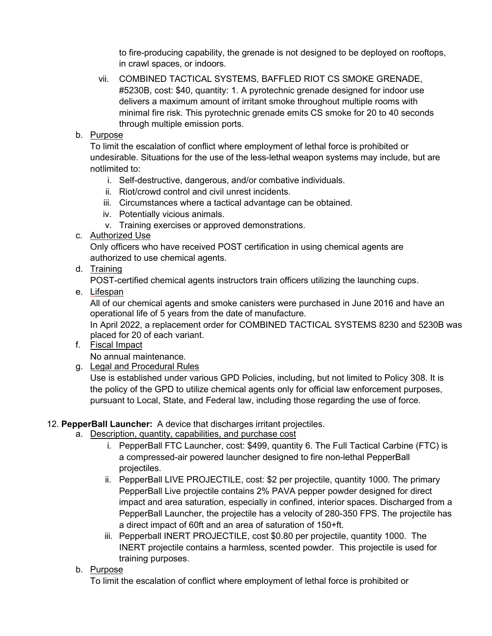to fire-producing capability, the grenade is not designed to be deployed on rooftops, in crawl spaces, or indoors.

- vii. COMBINED TACTICAL SYSTEMS, BAFFLED RIOT CS SMOKE GRENADE, #5230B, cost: \$40, quantity: 1. A pyrotechnic grenade designed for indoor use delivers a maximum amount of irritant smoke throughout multiple rooms with minimal fire risk. This pyrotechnic grenade emits CS smoke for 20 to 40 seconds through multiple emission ports.
- b. Purpose

To limit the escalation of conflict where employment of lethal force is prohibited or undesirable. Situations for the use of the less-lethal weapon systems may include, but are notlimited to:

- i. Self-destructive, dangerous, and/or combative individuals.
- ii. Riot/crowd control and civil unrest incidents.
- iii. Circumstances where a tactical advantage can be obtained.
- iv. Potentially vicious animals.
- v. Training exercises or approved demonstrations.
- c. Authorized Use

Only officers who have received POST certification in using chemical agents are authorized to use chemical agents.

d. Training

POST-certified chemical agents instructors train officers utilizing the launching cups.

e. Lifespan

All of our chemical agents and smoke canisters were purchased in June 2016 and have an operational life of 5 years from the date of manufacture.

In April 2022, a replacement order for COMBINED TACTICAL SYSTEMS 8230 and 5230B was placed for 20 of each variant.

f. Fiscal Impact

No annual maintenance.

g. Legal and Procedural Rules

Use is established under various GPD Policies, including, but not limited to Policy 308. It is the policy of the GPD to utilize chemical agents only for official law enforcement purposes, pursuant to Local, State, and Federal law, including those regarding the use of force.

## 12. **PepperBall Launcher:** A device that discharges irritant projectiles.

- a. Description, quantity, capabilities, and purchase cost
	- i. PepperBall FTC Launcher, cost: \$499, quantity 6. The Full Tactical Carbine (FTC) is a compressed-air powered launcher designed to fire non-lethal PepperBall projectiles.
	- ii. PepperBall LIVE PROJECTILE, cost: \$2 per projectile, quantity 1000. The primary PepperBall Live projectile contains 2% PAVA pepper powder designed for direct impact and area saturation, especially in confined, interior spaces. Discharged from a PepperBall Launcher, the projectile has a velocity of 280-350 FPS. The projectile has a direct impact of 60ft and an area of saturation of 150+ft.
	- iii. Pepperball INERT PROJECTILE, cost \$0.80 per projectile, quantity 1000. The INERT projectile contains a harmless, scented powder. This projectile is used for training purposes.
- b. Purpose

To limit the escalation of conflict where employment of lethal force is prohibited or